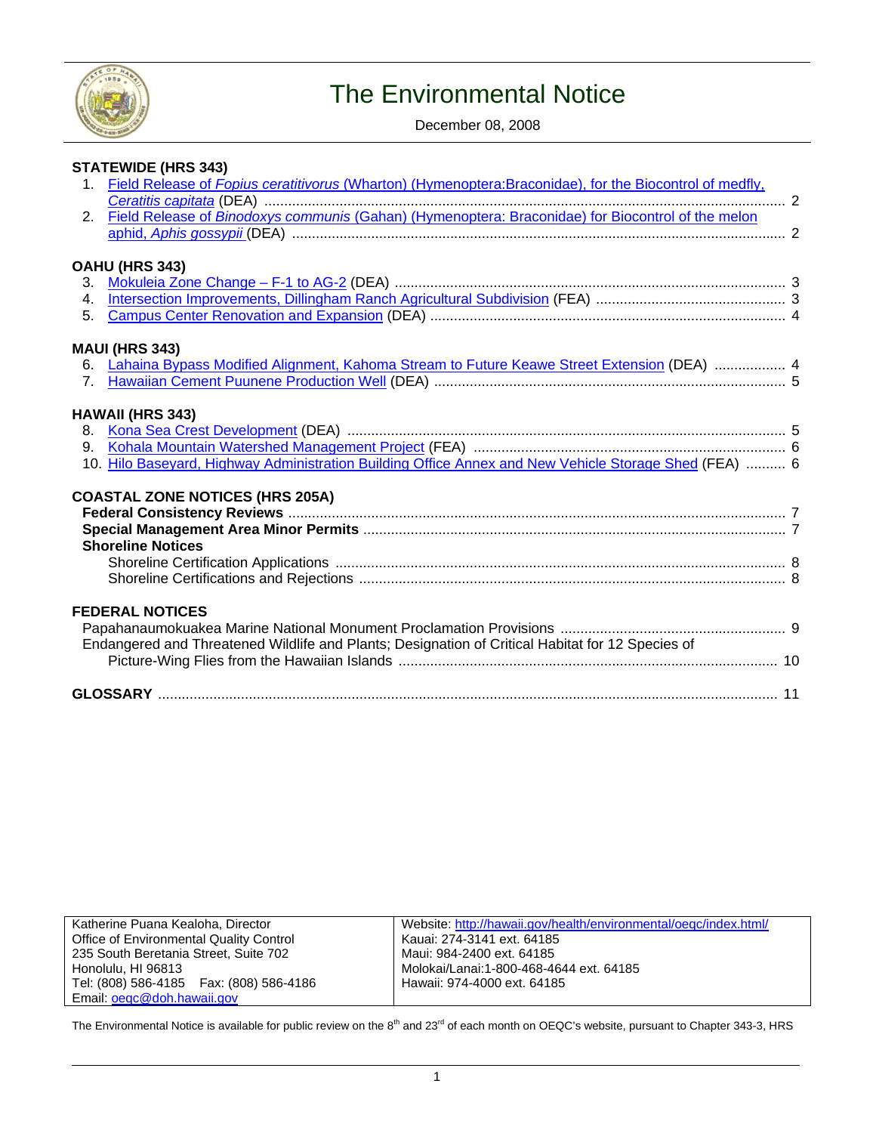

# The Environmental Notice

December 08, 2008

|                | <b>STATEWIDE (HRS 343)</b>                                                                              |  |
|----------------|---------------------------------------------------------------------------------------------------------|--|
| $1_{-}$        | Field Release of Fopius ceratitivorus (Wharton) (Hymenoptera:Braconidae), for the Biocontrol of medfly, |  |
| 2.             | Field Release of Binodoxys communis (Gahan) (Hymenoptera: Braconidae) for Biocontrol of the melon       |  |
|                |                                                                                                         |  |
|                | OAHU (HRS 343)                                                                                          |  |
| 3.             |                                                                                                         |  |
| $\overline{4}$ |                                                                                                         |  |
| 5.             |                                                                                                         |  |
|                | <b>MAUI (HRS 343)</b>                                                                                   |  |
| 6.             | Lahaina Bypass Modified Alignment, Kahoma Stream to Future Keawe Street Extension (DEA)  4              |  |
| 7 <sub>1</sub> |                                                                                                         |  |
|                |                                                                                                         |  |
|                | <b>HAWAII (HRS 343)</b>                                                                                 |  |
| 8.             |                                                                                                         |  |
| 9.             | 10. Hilo Baseyard, Highway Administration Building Office Annex and New Vehicle Storage Shed (FEA)  6   |  |
|                |                                                                                                         |  |
|                | <b>COASTAL ZONE NOTICES (HRS 205A)</b>                                                                  |  |
|                |                                                                                                         |  |
|                |                                                                                                         |  |
|                | <b>Shoreline Notices</b>                                                                                |  |
|                |                                                                                                         |  |
|                |                                                                                                         |  |
|                | <b>FEDERAL NOTICES</b>                                                                                  |  |
|                |                                                                                                         |  |
|                | Endangered and Threatened Wildlife and Plants; Designation of Critical Habitat for 12 Species of        |  |
|                |                                                                                                         |  |
|                |                                                                                                         |  |
|                |                                                                                                         |  |

| Katherine Puana Kealoha, Director          |  |  |
|--------------------------------------------|--|--|
| Office of Environmental Quality Control    |  |  |
| 235 South Beretania Street, Suite 702      |  |  |
| Honolulu, HI 96813                         |  |  |
| Tel: (808) 586-4185    Fax: (808) 586-4186 |  |  |
| Email: oegc@doh.hawaii.gov                 |  |  |

Website:<http://hawaii.gov/health/environmental/oeqc/index.html/> Kauai: 274-3141 ext. 64185 Maui: 984-2400 ext. 64185 Molokai/Lanai:1-800-468-4644 ext. 64185 Hawaii: 974-4000 ext. 64185

The Environmental Notice is available for public review on the  $8<sup>th</sup>$  and  $23<sup>rd</sup>$  of each month on OEQC's website, pursuant to Chapter 343-3, HRS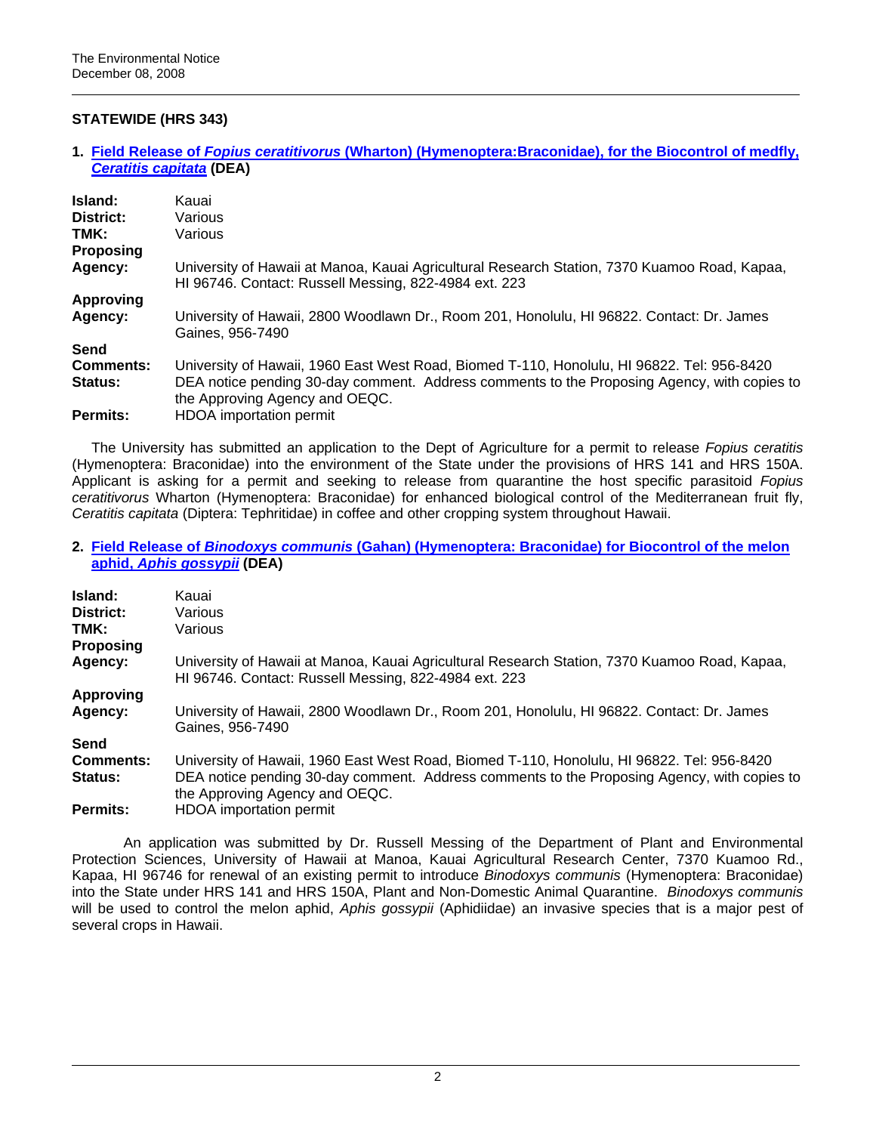# **STATEWIDE (HRS 343)**

### **1. Field Release of** *Fopius ceratitivorus* **[\(Wharton\) \(Hymenoptera:Braconidae\), for the Biocontrol of medfly,](http://oeqc.doh.hawaii.gov/Shared%20Documents/EA_and_EIS_Online_Library/Statewide/2000s/2008-12-08-ST-DEA-Field-Release-Fopius-Biocontrol-of-Medfly.pdf)**  *[Ceratitis capitata](http://oeqc.doh.hawaii.gov/Shared%20Documents/EA_and_EIS_Online_Library/Statewide/2000s/2008-12-08-ST-DEA-Field-Release-Fopius-Biocontrol-of-Medfly.pdf)* **(DEA)**

| Island:<br>District:     | Kauai<br>Various                                                                                                                                      |
|--------------------------|-------------------------------------------------------------------------------------------------------------------------------------------------------|
| TMK:<br><b>Proposing</b> | Various                                                                                                                                               |
| Agency:                  | University of Hawaii at Manoa, Kauai Agricultural Research Station, 7370 Kuamoo Road, Kapaa,<br>HI 96746. Contact: Russell Messing, 822-4984 ext. 223 |
| <b>Approving</b>         |                                                                                                                                                       |
| Agency:                  | University of Hawaii, 2800 Woodlawn Dr., Room 201, Honolulu, HI 96822. Contact: Dr. James<br>Gaines, 956-7490                                         |
| Send                     |                                                                                                                                                       |
| <b>Comments:</b>         | University of Hawaii, 1960 East West Road, Biomed T-110, Honolulu, HI 96822. Tel: 956-8420                                                            |
| <b>Status:</b>           | DEA notice pending 30-day comment. Address comments to the Proposing Agency, with copies to<br>the Approving Agency and OEQC.                         |
| Permits:                 | <b>HDOA</b> importation permit                                                                                                                        |

The University has submitted an application to the Dept of Agriculture for a permit to release *Fopius ceratitis* (Hymenoptera: Braconidae) into the environment of the State under the provisions of HRS 141 and HRS 150A. Applicant is asking for a permit and seeking to release from quarantine the host specific parasitoid *Fopius ceratitivorus* Wharton (Hymenoptera: Braconidae) for enhanced biological control of the Mediterranean fruit fly, *Ceratitis capitata* (Diptera: Tephritidae) in coffee and other cropping system throughout Hawaii.

**2. Field Release of** *Binodoxys communis* **[\(Gahan\) \(Hymenoptera: Braconidae\) for Biocontrol of the melon](http://oeqc.doh.hawaii.gov/Shared%20Documents/EA_and_EIS_Online_Library/Statewide/2000s/2008-12-08-ST-DEA-Field-Release-Binodoxys-Biocontrol-of-Melon-Aphid.pdf)  aphid,** *[Aphis gossypii](http://oeqc.doh.hawaii.gov/Shared%20Documents/EA_and_EIS_Online_Library/Statewide/2000s/2008-12-08-ST-DEA-Field-Release-Binodoxys-Biocontrol-of-Melon-Aphid.pdf)* **(DEA)**

| Island:          | Kauai                                                                                                                                                 |
|------------------|-------------------------------------------------------------------------------------------------------------------------------------------------------|
| District:        | Various                                                                                                                                               |
| TMK:             | Various                                                                                                                                               |
| <b>Proposing</b> |                                                                                                                                                       |
| Agency:          | University of Hawaii at Manoa, Kauai Agricultural Research Station, 7370 Kuamoo Road, Kapaa,<br>HI 96746. Contact: Russell Messing, 822-4984 ext. 223 |
| <b>Approving</b> |                                                                                                                                                       |
| Agency:          | University of Hawaii, 2800 Woodlawn Dr., Room 201, Honolulu, HI 96822. Contact: Dr. James<br>Gaines, 956-7490                                         |
| Send             |                                                                                                                                                       |
| <b>Comments:</b> | University of Hawaii, 1960 East West Road, Biomed T-110, Honolulu, HI 96822. Tel: 956-8420                                                            |
| Status:          | DEA notice pending 30-day comment. Address comments to the Proposing Agency, with copies to<br>the Approving Agency and OEQC.                         |
| <b>Permits:</b>  | <b>HDOA</b> importation permit                                                                                                                        |

An application was submitted by Dr. Russell Messing of the Department of Plant and Environmental Protection Sciences, University of Hawaii at Manoa, Kauai Agricultural Research Center, 7370 Kuamoo Rd., Kapaa, HI 96746 for renewal of an existing permit to introduce *Binodoxys communis* (Hymenoptera: Braconidae) into the State under HRS 141 and HRS 150A, Plant and Non-Domestic Animal Quarantine. *Binodoxys communis* will be used to control the melon aphid, *Aphis gossypii* (Aphidiidae) an invasive species that is a major pest of several crops in Hawaii.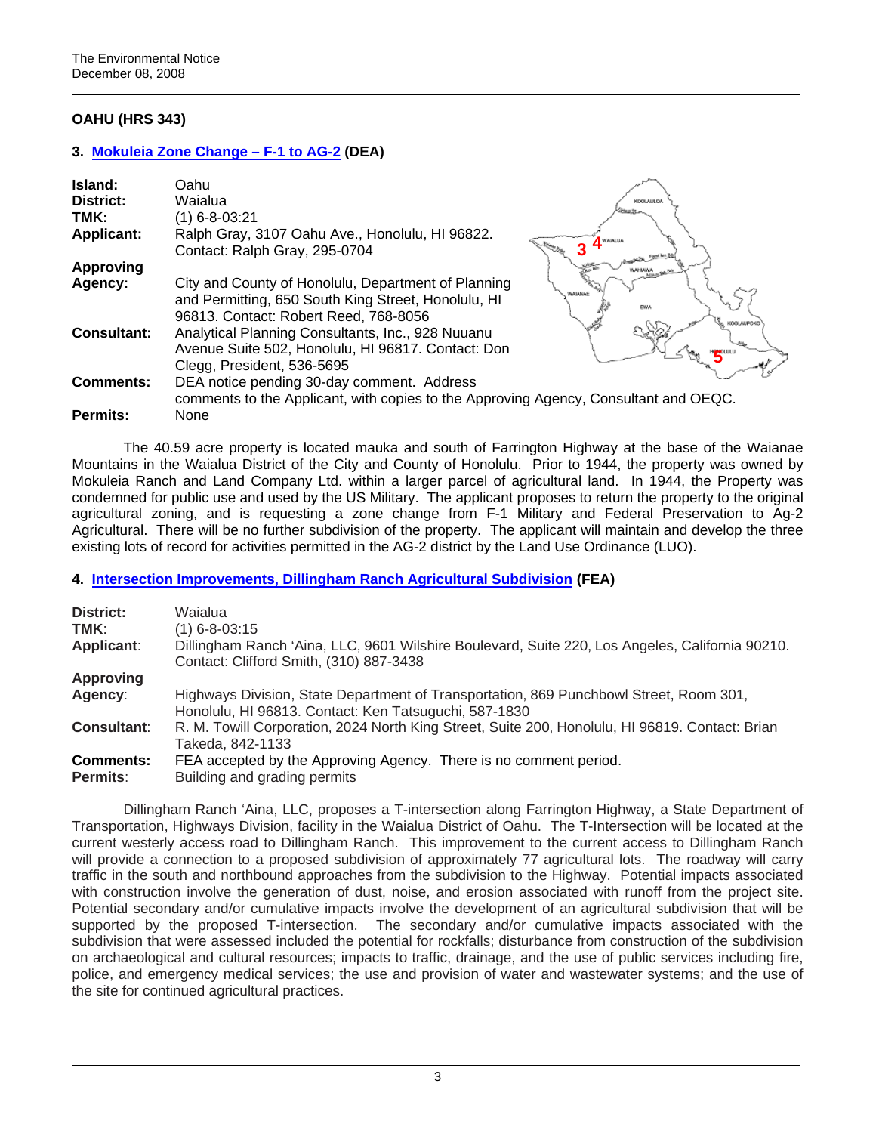# **OAHU (HRS 343)**

# **3. [Mokuleia Zone Change – F-1 to AG-2](http://oeqc.doh.hawaii.gov/Shared%20Documents/EA_and_EIS_Online_Library/Oahu/2000s/2008-12-08-OA-DEA-Mokuleia-Zone-Change-F1-AG2.pdf) (DEA)**

| Island:<br>District: | Oahu<br>Waialua                                                                                                                                     | KDOLAULD.            |
|----------------------|-----------------------------------------------------------------------------------------------------------------------------------------------------|----------------------|
| TMK:                 | $(1)$ 6-8-03:21                                                                                                                                     |                      |
| <b>Applicant:</b>    | Ralph Gray, 3107 Oahu Ave., Honolulu, HI 96822.<br>Contact: Ralph Gray, 295-0704                                                                    | WAIALUA              |
| <b>Approving</b>     |                                                                                                                                                     |                      |
| Agency:              | City and County of Honolulu, Department of Planning<br>and Permitting, 650 South King Street, Honolulu, HI<br>96813. Contact: Robert Reed, 768-8056 | WAIANAE<br>KOOLAUPOK |
| <b>Consultant:</b>   | Analytical Planning Consultants, Inc., 928 Nuuanu<br>Avenue Suite 502, Honolulu, HI 96817. Contact: Don<br>Clegg, President, 536-5695               |                      |
| <b>Comments:</b>     | DEA notice pending 30-day comment. Address<br>comments to the Applicant, with copies to the Approving Agency, Consultant and OEQC.                  |                      |
| Permits:             | None                                                                                                                                                |                      |

The 40.59 acre property is located mauka and south of Farrington Highway at the base of the Waianae Mountains in the Waialua District of the City and County of Honolulu. Prior to 1944, the property was owned by Mokuleia Ranch and Land Company Ltd. within a larger parcel of agricultural land. In 1944, the Property was condemned for public use and used by the US Military. The applicant proposes to return the property to the original agricultural zoning, and is requesting a zone change from F-1 Military and Federal Preservation to Ag-2 Agricultural. There will be no further subdivision of the property. The applicant will maintain and develop the three existing lots of record for activities permitted in the AG-2 district by the Land Use Ordinance (LUO).

# **4. [Intersection Improvements, Dillingham Ranch Agricultural Subdivision](http://oeqc.doh.hawaii.gov/Shared%20Documents/EA_and_EIS_Online_Library/Oahu/2000s/2008-12-08-OA-FEA-Intersection-Improvements-Dillingham-Ranch.pdf) (FEA)**

| District:<br>TMK:<br>Applicant: | Waialua<br>$(1)$ 6-8-03:15<br>Dillingham Ranch 'Aina, LLC, 9601 Wilshire Boulevard, Suite 220, Los Angeles, California 90210.<br>Contact: Clifford Smith, (310) 887-3438 |
|---------------------------------|--------------------------------------------------------------------------------------------------------------------------------------------------------------------------|
| <b>Approving</b>                |                                                                                                                                                                          |
| Agency:                         | Highways Division, State Department of Transportation, 869 Punchbowl Street, Room 301,<br>Honolulu, HI 96813. Contact: Ken Tatsuguchi, 587-1830                          |
| <b>Consultant:</b>              | R. M. Towill Corporation, 2024 North King Street, Suite 200, Honolulu, HI 96819. Contact: Brian<br>Takeda, 842-1133                                                      |
| <b>Comments:</b>                | FEA accepted by the Approving Agency. There is no comment period.                                                                                                        |
| <b>Permits:</b>                 | Building and grading permits                                                                                                                                             |

Dillingham Ranch 'Aina, LLC, proposes a T-intersection along Farrington Highway, a State Department of Transportation, Highways Division, facility in the Waialua District of Oahu. The T-Intersection will be located at the current westerly access road to Dillingham Ranch. This improvement to the current access to Dillingham Ranch will provide a connection to a proposed subdivision of approximately 77 agricultural lots. The roadway will carry traffic in the south and northbound approaches from the subdivision to the Highway. Potential impacts associated with construction involve the generation of dust, noise, and erosion associated with runoff from the project site. Potential secondary and/or cumulative impacts involve the development of an agricultural subdivision that will be supported by the proposed T-intersection. The secondary and/or cumulative impacts associated with the subdivision that were assessed included the potential for rockfalls; disturbance from construction of the subdivision on archaeological and cultural resources; impacts to traffic, drainage, and the use of public services including fire, police, and emergency medical services; the use and provision of water and wastewater systems; and the use of the site for continued agricultural practices.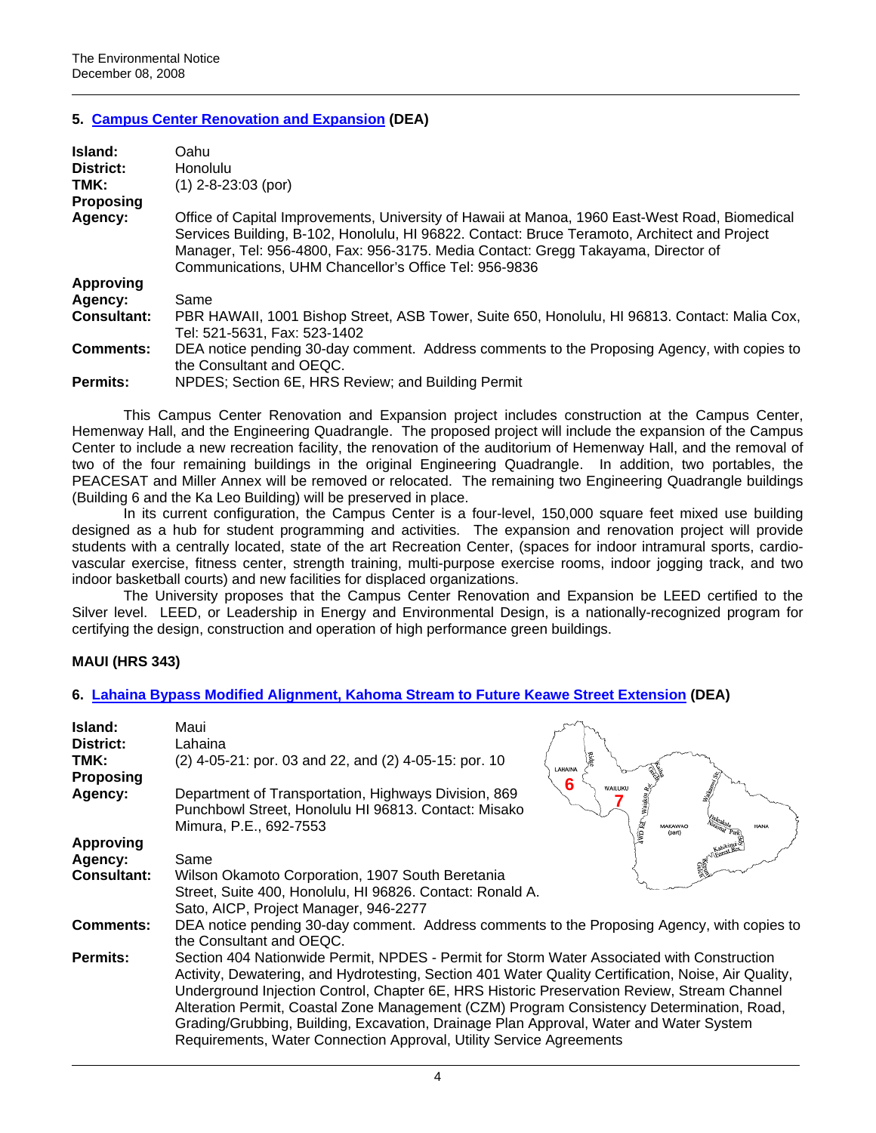# **5. [Campus Center Renovation and Expansion](http://oeqc.doh.hawaii.gov/Shared%20Documents/EA_and_EIS_Online_Library/Oahu/2000s/2008-12-08-OA-DEA-UHM-CAMPUS-CENTER.pdf) (DEA)**

| Island:            | Oahu                                                                                                                                                                                                                                                                                                                                         |  |
|--------------------|----------------------------------------------------------------------------------------------------------------------------------------------------------------------------------------------------------------------------------------------------------------------------------------------------------------------------------------------|--|
| District:          | <b>Honolulu</b>                                                                                                                                                                                                                                                                                                                              |  |
| TMK:               | $(1)$ 2-8-23:03 (por)                                                                                                                                                                                                                                                                                                                        |  |
| <b>Proposing</b>   |                                                                                                                                                                                                                                                                                                                                              |  |
| Agency:            | Office of Capital Improvements, University of Hawaii at Manoa, 1960 East-West Road, Biomedical<br>Services Building, B-102, Honolulu, HI 96822. Contact: Bruce Teramoto, Architect and Project<br>Manager, Tel: 956-4800, Fax: 956-3175. Media Contact: Gregg Takayama, Director of<br>Communications, UHM Chancellor's Office Tel: 956-9836 |  |
| <b>Approving</b>   |                                                                                                                                                                                                                                                                                                                                              |  |
| Agency:            | Same                                                                                                                                                                                                                                                                                                                                         |  |
| <b>Consultant:</b> | PBR HAWAII, 1001 Bishop Street, ASB Tower, Suite 650, Honolulu, HI 96813. Contact: Malia Cox,<br>Tel: 521-5631. Fax: 523-1402                                                                                                                                                                                                                |  |
| <b>Comments:</b>   | DEA notice pending 30-day comment. Address comments to the Proposing Agency, with copies to<br>the Consultant and OEQC.                                                                                                                                                                                                                      |  |
| <b>Permits:</b>    | NPDES; Section 6E, HRS Review; and Building Permit                                                                                                                                                                                                                                                                                           |  |

This Campus Center Renovation and Expansion project includes construction at the Campus Center, Hemenway Hall, and the Engineering Quadrangle. The proposed project will include the expansion of the Campus Center to include a new recreation facility, the renovation of the auditorium of Hemenway Hall, and the removal of two of the four remaining buildings in the original Engineering Quadrangle. In addition, two portables, the PEACESAT and Miller Annex will be removed or relocated. The remaining two Engineering Quadrangle buildings (Building 6 and the Ka Leo Building) will be preserved in place.

In its current configuration, the Campus Center is a four-level, 150,000 square feet mixed use building designed as a hub for student programming and activities. The expansion and renovation project will provide students with a centrally located, state of the art Recreation Center, (spaces for indoor intramural sports, cardiovascular exercise, fitness center, strength training, multi-purpose exercise rooms, indoor jogging track, and two indoor basketball courts) and new facilities for displaced organizations.

The University proposes that the Campus Center Renovation and Expansion be LEED certified to the Silver level. LEED, or Leadership in Energy and Environmental Design, is a nationally-recognized program for certifying the design, construction and operation of high performance green buildings.

# **MAUI (HRS 343)**

# **6. [Lahaina Bypass Modified Alignment, Kahoma Stream to Future Keawe Street Extension](http://oeqc.doh.hawaii.gov/Shared%20Documents/EA_and_EIS_Online_Library/Maui/2000s/2008-12-08-MA-DEA-Lahaina-Bypass-at-Kahoma-Stream.pdf) (DEA)**

| Island:<br>District:<br>TMK: | Maui<br>Lahaina<br>(2) 4-05-21: por. 03 and 22, and (2) 4-05-15: por. 10                                                                                                                                                                                                                                                                                                                                                                                                                                                                                        |  |
|------------------------------|-----------------------------------------------------------------------------------------------------------------------------------------------------------------------------------------------------------------------------------------------------------------------------------------------------------------------------------------------------------------------------------------------------------------------------------------------------------------------------------------------------------------------------------------------------------------|--|
| <b>Proposing</b><br>Agency:  | <b>LAHAINA</b><br>6<br>Department of Transportation, Highways Division, 869<br>Punchbowl Street, Honolulu HI 96813. Contact: Misako                                                                                                                                                                                                                                                                                                                                                                                                                             |  |
| <b>Approving</b>             | wo ke<br>Mimura, P.E., 692-7553<br>AAKAWAC                                                                                                                                                                                                                                                                                                                                                                                                                                                                                                                      |  |
| Agency:                      | Same                                                                                                                                                                                                                                                                                                                                                                                                                                                                                                                                                            |  |
| <b>Consultant:</b>           | Wilson Okamoto Corporation, 1907 South Beretania<br>Street, Suite 400, Honolulu, HI 96826. Contact: Ronald A.<br>Sato, AICP, Project Manager, 946-2277                                                                                                                                                                                                                                                                                                                                                                                                          |  |
| <b>Comments:</b>             | DEA notice pending 30-day comment. Address comments to the Proposing Agency, with copies to<br>the Consultant and OEQC.                                                                                                                                                                                                                                                                                                                                                                                                                                         |  |
| <b>Permits:</b>              | Section 404 Nationwide Permit, NPDES - Permit for Storm Water Associated with Construction<br>Activity, Dewatering, and Hydrotesting, Section 401 Water Quality Certification, Noise, Air Quality,<br>Underground Injection Control, Chapter 6E, HRS Historic Preservation Review, Stream Channel<br>Alteration Permit, Coastal Zone Management (CZM) Program Consistency Determination, Road,<br>Grading/Grubbing, Building, Excavation, Drainage Plan Approval, Water and Water System<br>Requirements, Water Connection Approval, Utility Service Agreements |  |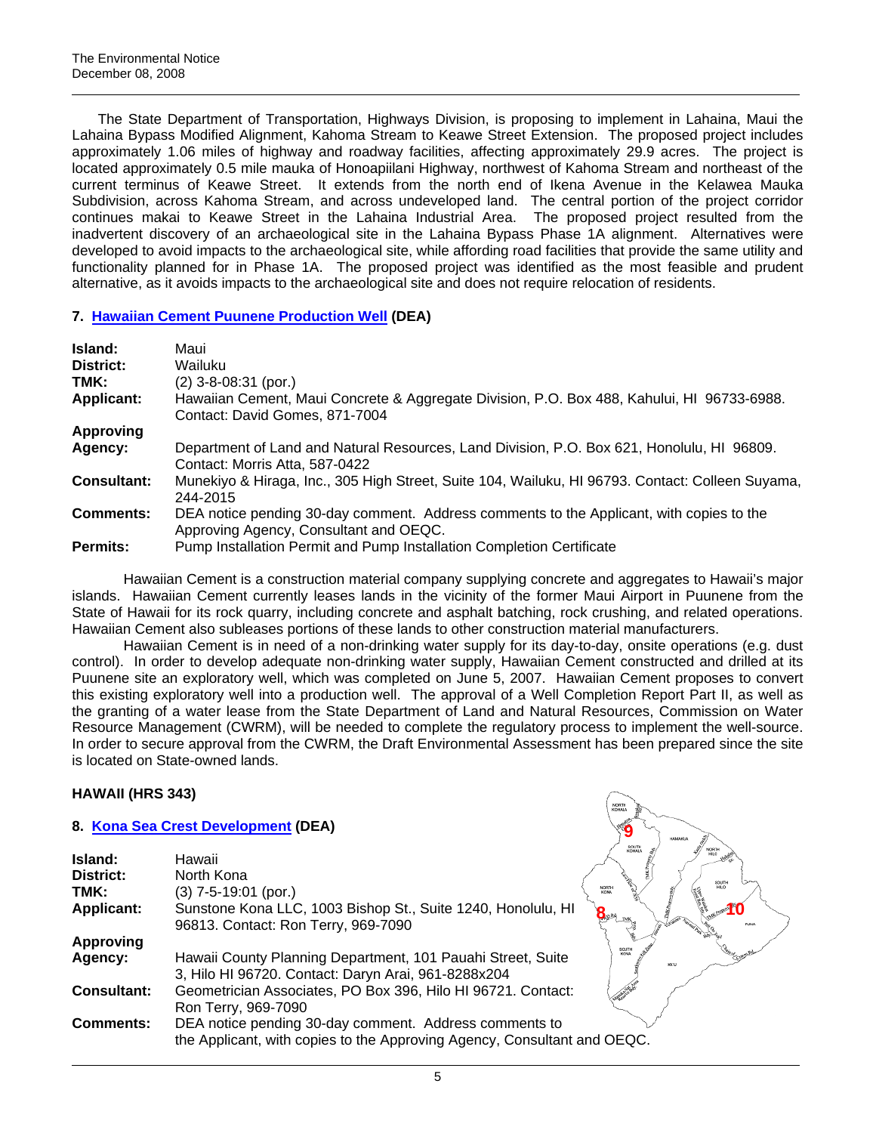The State Department of Transportation, Highways Division, is proposing to implement in Lahaina, Maui the Lahaina Bypass Modified Alignment, Kahoma Stream to Keawe Street Extension. The proposed project includes approximately 1.06 miles of highway and roadway facilities, affecting approximately 29.9 acres. The project is located approximately 0.5 mile mauka of Honoapiilani Highway, northwest of Kahoma Stream and northeast of the current terminus of Keawe Street. It extends from the north end of Ikena Avenue in the Kelawea Mauka Subdivision, across Kahoma Stream, and across undeveloped land. The central portion of the project corridor continues makai to Keawe Street in the Lahaina Industrial Area. The proposed project resulted from the inadvertent discovery of an archaeological site in the Lahaina Bypass Phase 1A alignment. Alternatives were developed to avoid impacts to the archaeological site, while affording road facilities that provide the same utility and functionality planned for in Phase 1A. The proposed project was identified as the most feasible and prudent alternative, as it avoids impacts to the archaeological site and does not require relocation of residents.

# **7. [Hawaiian Cement Puunene Production Well](http://oeqc.doh.hawaii.gov/Shared%20Documents/EA_and_EIS_Online_Library/Maui/2000s/2008-12-08-MA-DEA-Hawaiian-Cement-Puunene-Well.pdf) (DEA)**

| Island:            | Maui                                                                                                                               |
|--------------------|------------------------------------------------------------------------------------------------------------------------------------|
| District:          | Wailuku                                                                                                                            |
| TMK:               | $(2)$ 3-8-08:31 (por.)                                                                                                             |
| <b>Applicant:</b>  | Hawaiian Cement, Maui Concrete & Aggregate Division, P.O. Box 488, Kahului, HI 96733-6988.<br>Contact: David Gomes, 871-7004       |
| Approving          |                                                                                                                                    |
| Agency:            | Department of Land and Natural Resources, Land Division, P.O. Box 621, Honolulu, HI 96809.<br>Contact: Morris Atta, 587-0422       |
| <b>Consultant:</b> | Munekiyo & Hiraga, Inc., 305 High Street, Suite 104, Wailuku, HI 96793. Contact: Colleen Suyama,<br>244-2015                       |
| <b>Comments:</b>   | DEA notice pending 30-day comment. Address comments to the Applicant, with copies to the<br>Approving Agency, Consultant and OEQC. |
| <b>Permits:</b>    | Pump Installation Permit and Pump Installation Completion Certificate                                                              |

Hawaiian Cement is a construction material company supplying concrete and aggregates to Hawaii's major islands. Hawaiian Cement currently leases lands in the vicinity of the former Maui Airport in Puunene from the State of Hawaii for its rock quarry, including concrete and asphalt batching, rock crushing, and related operations. Hawaiian Cement also subleases portions of these lands to other construction material manufacturers.

Hawaiian Cement is in need of a non-drinking water supply for its day-to-day, onsite operations (e.g. dust control). In order to develop adequate non-drinking water supply, Hawaiian Cement constructed and drilled at its Puunene site an exploratory well, which was completed on June 5, 2007. Hawaiian Cement proposes to convert this existing exploratory well into a production well. The approval of a Well Completion Report Part II, as well as the granting of a water lease from the State Department of Land and Natural Resources, Commission on Water Resource Management (CWRM), will be needed to complete the regulatory process to implement the well-source. In order to secure approval from the CWRM, the Draft Environmental Assessment has been prepared since the site is located on State-owned lands.

# **HAWAII (HRS 343)**

# **8. [Kona Sea Crest Development](http://oeqc.doh.hawaii.gov/Shared%20Documents/EA_and_EIS_Online_Library/Hawaii/2000s/2008-12-08-HA-DEA-Kona-Sea-Crest.pdf) (DEA)**

|                    | 8. Kona Sea Crest Development (DEA)                                                                                                | <b>HAMMY</b> |
|--------------------|------------------------------------------------------------------------------------------------------------------------------------|--------------|
| Island:            | Hawaii                                                                                                                             | KOHALA       |
| District:          | North Kona                                                                                                                         |              |
| TMK:               | (3) 7-5-19:01 (por.)                                                                                                               |              |
| <b>Applicant:</b>  | Sunstone Kona LLC, 1003 Bishop St., Suite 1240, Honolulu, HI<br>96813. Contact: Ron Terry, 969-7090                                |              |
| <b>Approving</b>   |                                                                                                                                    |              |
| Agency:            | Hawaii County Planning Department, 101 Pauahi Street, Suite<br>3, Hilo HI 96720. Contact: Daryn Arai, 961-8288x204                 | KA'U         |
| <b>Consultant:</b> | Geometrician Associates, PO Box 396, Hilo HI 96721. Contact:<br>Ron Terry, 969-7090                                                |              |
| <b>Comments:</b>   | DEA notice pending 30-day comment. Address comments to<br>the Applicant, with copies to the Approving Agency, Consultant and OEQC. |              |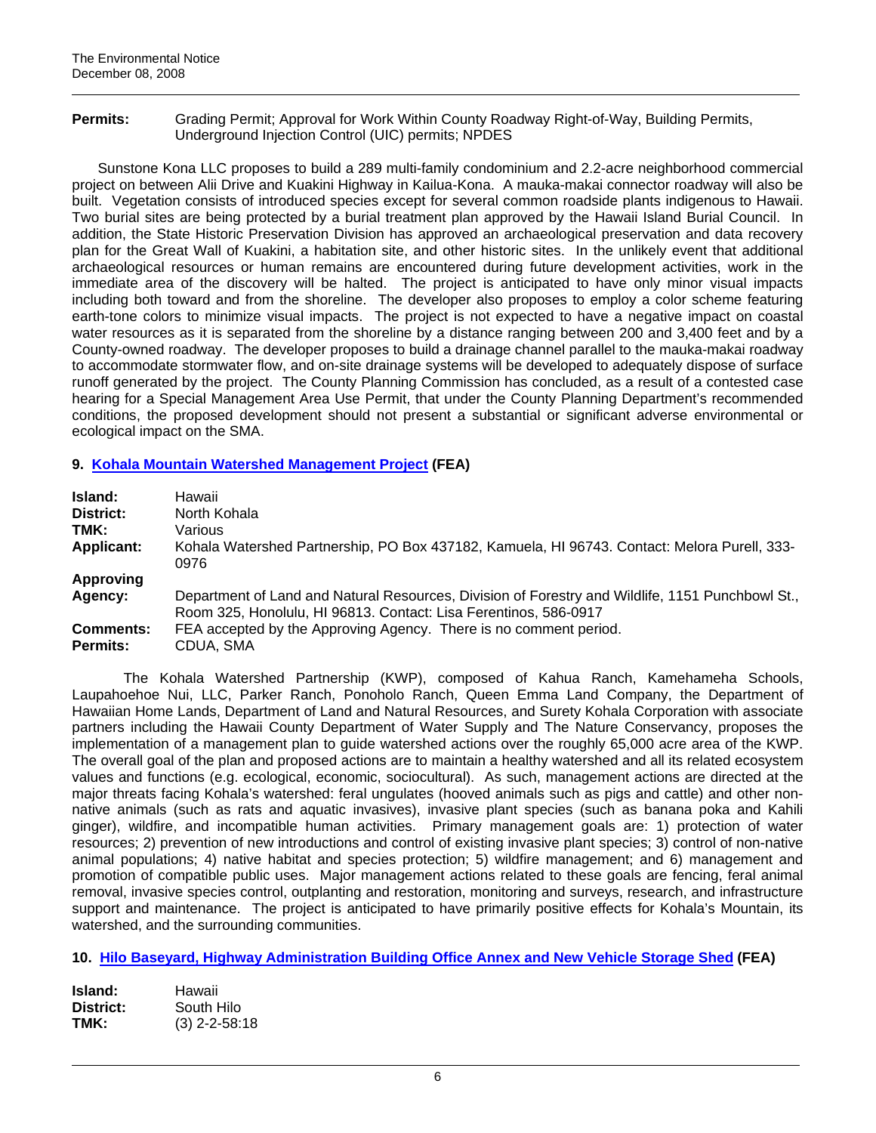**Permits:** Grading Permit; Approval for Work Within County Roadway Right-of-Way, Building Permits, Underground Injection Control (UIC) permits; NPDES

Sunstone Kona LLC proposes to build a 289 multi-family condominium and 2.2-acre neighborhood commercial project on between Alii Drive and Kuakini Highway in Kailua-Kona. A mauka-makai connector roadway will also be built. Vegetation consists of introduced species except for several common roadside plants indigenous to Hawaii. Two burial sites are being protected by a burial treatment plan approved by the Hawaii Island Burial Council. In addition, the State Historic Preservation Division has approved an archaeological preservation and data recovery plan for the Great Wall of Kuakini, a habitation site, and other historic sites. In the unlikely event that additional archaeological resources or human remains are encountered during future development activities, work in the immediate area of the discovery will be halted. The project is anticipated to have only minor visual impacts including both toward and from the shoreline. The developer also proposes to employ a color scheme featuring earth-tone colors to minimize visual impacts. The project is not expected to have a negative impact on coastal water resources as it is separated from the shoreline by a distance ranging between 200 and 3,400 feet and by a County-owned roadway. The developer proposes to build a drainage channel parallel to the mauka-makai roadway to accommodate stormwater flow, and on-site drainage systems will be developed to adequately dispose of surface runoff generated by the project. The County Planning Commission has concluded, as a result of a contested case hearing for a Special Management Area Use Permit, that under the County Planning Department's recommended conditions, the proposed development should not present a substantial or significant adverse environmental or ecological impact on the SMA.

# **9. [Kohala Mountain Watershed Management Project](http://oeqc.doh.hawaii.gov/Shared%20Documents/EA_and_EIS_Online_Library/Hawaii/2000s/2008-12-08-HA-FEA-Kohala-Mtn-Watershed.pdf) (FEA)**

| Island:           | Hawaii                                                                                                                                                               |  |
|-------------------|----------------------------------------------------------------------------------------------------------------------------------------------------------------------|--|
| District:         | North Kohala                                                                                                                                                         |  |
| TMK:              | Various                                                                                                                                                              |  |
| <b>Applicant:</b> | Kohala Watershed Partnership, PO Box 437182, Kamuela, HI 96743. Contact: Melora Purell, 333-<br>0976                                                                 |  |
| Approving         |                                                                                                                                                                      |  |
| Agency:           | Department of Land and Natural Resources, Division of Forestry and Wildlife, 1151 Punchbowl St.,<br>Room 325, Honolulu, HI 96813. Contact: Lisa Ferentinos, 586-0917 |  |
| <b>Comments:</b>  | FEA accepted by the Approving Agency. There is no comment period.                                                                                                    |  |
| <b>Permits:</b>   | CDUA, SMA                                                                                                                                                            |  |

The Kohala Watershed Partnership (KWP), composed of Kahua Ranch, Kamehameha Schools, Laupahoehoe Nui, LLC, Parker Ranch, Ponoholo Ranch, Queen Emma Land Company, the Department of Hawaiian Home Lands, Department of Land and Natural Resources, and Surety Kohala Corporation with associate partners including the Hawaii County Department of Water Supply and The Nature Conservancy, proposes the implementation of a management plan to guide watershed actions over the roughly 65,000 acre area of the KWP. The overall goal of the plan and proposed actions are to maintain a healthy watershed and all its related ecosystem values and functions (e.g. ecological, economic, sociocultural). As such, management actions are directed at the major threats facing Kohala's watershed: feral ungulates (hooved animals such as pigs and cattle) and other nonnative animals (such as rats and aquatic invasives), invasive plant species (such as banana poka and Kahili ginger), wildfire, and incompatible human activities. Primary management goals are: 1) protection of water resources; 2) prevention of new introductions and control of existing invasive plant species; 3) control of non-native animal populations; 4) native habitat and species protection; 5) wildfire management; and 6) management and promotion of compatible public uses. Major management actions related to these goals are fencing, feral animal removal, invasive species control, outplanting and restoration, monitoring and surveys, research, and infrastructure support and maintenance. The project is anticipated to have primarily positive effects for Kohala's Mountain, its watershed, and the surrounding communities.

**10. [Hilo Baseyard, Highway Administration Building Office Annex and New Vehicle Storage Shed](http://oeqc.doh.hawaii.gov/Shared%20Documents/EA_and_EIS_Online_Library/Hawaii/2000s/2008-12-08-HA-FEA-Hilo-Baseyard.pdf) (FEA)** 

| Island:   | Hawaii          |
|-----------|-----------------|
| District: | South Hilo      |
| TMK:      | $(3)$ 2-2-58:18 |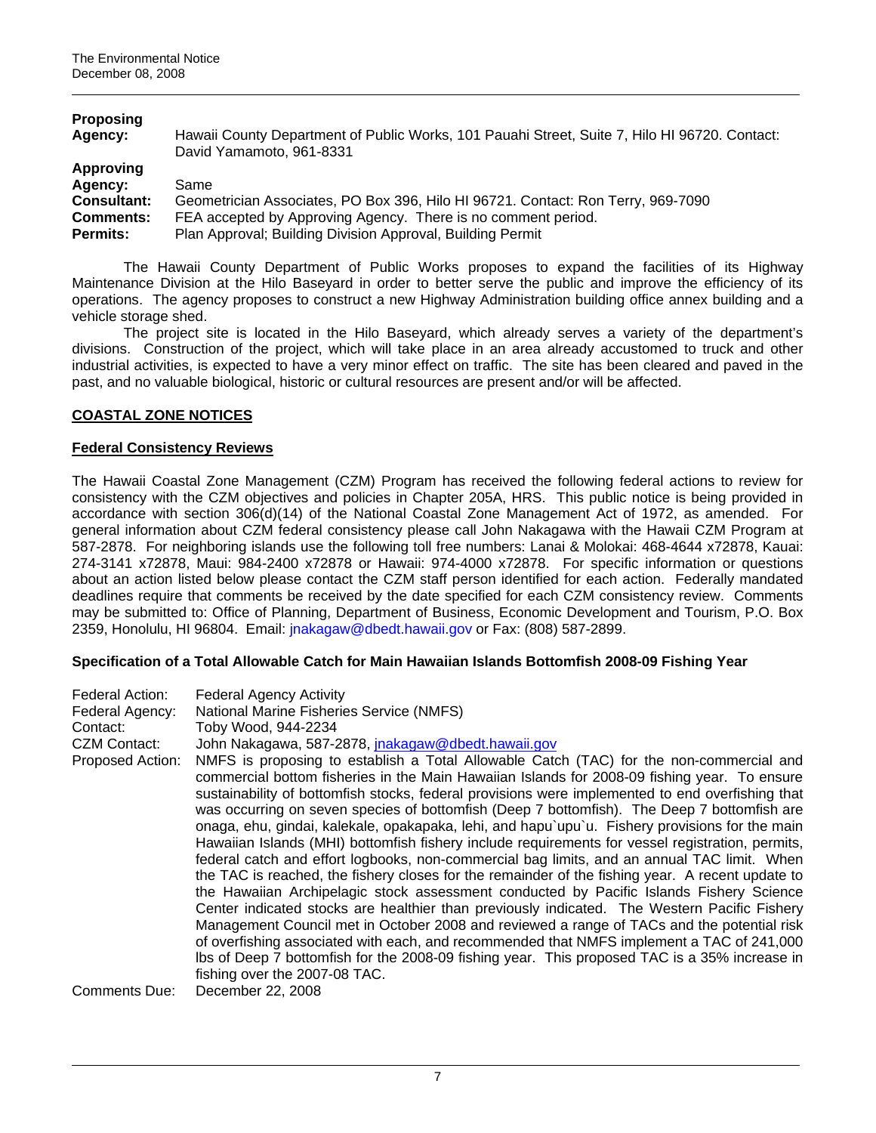| <b>Proposing</b>   |                                                                                               |
|--------------------|-----------------------------------------------------------------------------------------------|
| Agency:            | Hawaii County Department of Public Works, 101 Pauahi Street, Suite 7, Hilo HI 96720. Contact: |
|                    | David Yamamoto, 961-8331                                                                      |
| Approving          |                                                                                               |
| Agency:            | Same                                                                                          |
| <b>Consultant:</b> | Geometrician Associates, PO Box 396, Hilo HI 96721. Contact: Ron Terry, 969-7090              |
| <b>Comments:</b>   | FEA accepted by Approving Agency. There is no comment period.                                 |
| <b>Permits:</b>    | Plan Approval; Building Division Approval, Building Permit                                    |

The Hawaii County Department of Public Works proposes to expand the facilities of its Highway Maintenance Division at the Hilo Baseyard in order to better serve the public and improve the efficiency of its operations. The agency proposes to construct a new Highway Administration building office annex building and a vehicle storage shed.

The project site is located in the Hilo Baseyard, which already serves a variety of the department's divisions. Construction of the project, which will take place in an area already accustomed to truck and other industrial activities, is expected to have a very minor effect on traffic. The site has been cleared and paved in the past, and no valuable biological, historic or cultural resources are present and/or will be affected.

# **COASTAL ZONE NOTICES**

### **Federal Consistency Reviews**

The Hawaii Coastal Zone Management (CZM) Program has received the following federal actions to review for consistency with the CZM objectives and policies in Chapter 205A, HRS. This public notice is being provided in accordance with section 306(d)(14) of the National Coastal Zone Management Act of 1972, as amended. For general information about CZM federal consistency please call John Nakagawa with the Hawaii CZM Program at 587-2878. For neighboring islands use the following toll free numbers: Lanai & Molokai: 468-4644 x72878, Kauai: 274-3141 x72878, Maui: 984-2400 x72878 or Hawaii: 974-4000 x72878. For specific information or questions about an action listed below please contact the CZM staff person identified for each action. Federally mandated deadlines require that comments be received by the date specified for each CZM consistency review. Comments may be submitted to: Office of Planning, Department of Business, Economic Development and Tourism, P.O. Box 2359, Honolulu, HI 96804. Email: [jnakagaw@dbedt.hawaii.gov](mailto:jnakagaw@dbedt.hawaii.gov) or Fax: (808) 587-2899.

### **Specification of a Total Allowable Catch for Main Hawaiian Islands Bottomfish 2008-09 Fishing Year**

| Federal Action:<br>Federal Agency:<br>Contact: | <b>Federal Agency Activity</b><br>National Marine Fisheries Service (NMFS)<br>Toby Wood, 944-2234                                                                                                                                                                                                                                                                                                                                                                                                                                                                                                                                                                                                                                                                                                                                                                                                                                                                                                                                                                                                                                                                                                                                                                                                                                                |
|------------------------------------------------|--------------------------------------------------------------------------------------------------------------------------------------------------------------------------------------------------------------------------------------------------------------------------------------------------------------------------------------------------------------------------------------------------------------------------------------------------------------------------------------------------------------------------------------------------------------------------------------------------------------------------------------------------------------------------------------------------------------------------------------------------------------------------------------------------------------------------------------------------------------------------------------------------------------------------------------------------------------------------------------------------------------------------------------------------------------------------------------------------------------------------------------------------------------------------------------------------------------------------------------------------------------------------------------------------------------------------------------------------|
| <b>CZM Contact:</b><br>Proposed Action:        | John Nakagawa, 587-2878, jnakagaw@dbedt.hawaii.gov<br>NMFS is proposing to establish a Total Allowable Catch (TAC) for the non-commercial and<br>commercial bottom fisheries in the Main Hawaiian Islands for 2008-09 fishing year. To ensure<br>sustainability of bottomfish stocks, federal provisions were implemented to end overfishing that<br>was occurring on seven species of bottomfish (Deep 7 bottomfish). The Deep 7 bottomfish are<br>onaga, ehu, gindai, kalekale, opakapaka, lehi, and hapu`upu`u. Fishery provisions for the main<br>Hawaiian Islands (MHI) bottomfish fishery include requirements for vessel registration, permits,<br>federal catch and effort logbooks, non-commercial bag limits, and an annual TAC limit. When<br>the TAC is reached, the fishery closes for the remainder of the fishing year. A recent update to<br>the Hawaiian Archipelagic stock assessment conducted by Pacific Islands Fishery Science<br>Center indicated stocks are healthier than previously indicated. The Western Pacific Fishery<br>Management Council met in October 2008 and reviewed a range of TACs and the potential risk<br>of overfishing associated with each, and recommended that NMFS implement a TAC of 241,000<br>Ibs of Deep 7 bottomfish for the 2008-09 fishing year. This proposed TAC is a 35% increase in |
| Comments Due:                                  | fishing over the 2007-08 TAC.<br>December 22, 2008                                                                                                                                                                                                                                                                                                                                                                                                                                                                                                                                                                                                                                                                                                                                                                                                                                                                                                                                                                                                                                                                                                                                                                                                                                                                                               |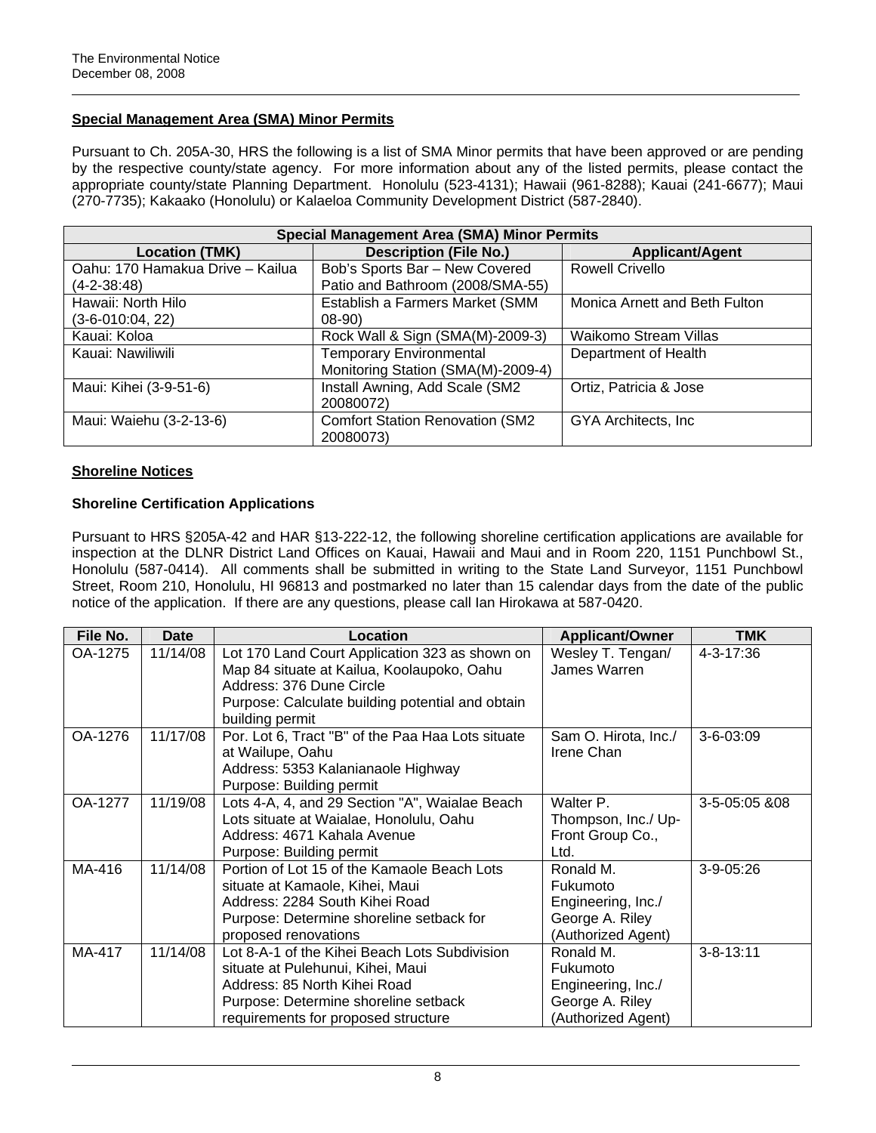# **Special Management Area (SMA) Minor Permits**

Pursuant to Ch. 205A-30, HRS the following is a list of SMA Minor permits that have been approved or are pending by the respective county/state agency. For more information about any of the listed permits, please contact the appropriate county/state Planning Department. Honolulu (523-4131); Hawaii (961-8288); Kauai (241-6677); Maui (270-7735); Kakaako (Honolulu) or Kalaeloa Community Development District (587-2840).

| <b>Special Management Area (SMA) Minor Permits</b> |                                        |                               |  |
|----------------------------------------------------|----------------------------------------|-------------------------------|--|
| <b>Location (TMK)</b>                              | <b>Description (File No.)</b>          | <b>Applicant/Agent</b>        |  |
| Oahu: 170 Hamakua Drive - Kailua                   | Bob's Sports Bar - New Covered         | <b>Rowell Crivello</b>        |  |
| $(4-2-38:48)$                                      | Patio and Bathroom (2008/SMA-55)       |                               |  |
| Hawaii: North Hilo                                 | Establish a Farmers Market (SMM        | Monica Arnett and Beth Fulton |  |
| $(3-6-010:04, 22)$                                 | $08-90$                                |                               |  |
| Kauai: Koloa                                       | Rock Wall & Sign (SMA(M)-2009-3)       | <b>Waikomo Stream Villas</b>  |  |
| Kauai: Nawiliwili                                  | <b>Temporary Environmental</b>         | Department of Health          |  |
|                                                    | Monitoring Station (SMA(M)-2009-4)     |                               |  |
| Maui: Kihei (3-9-51-6)                             | Install Awning, Add Scale (SM2         | Ortiz, Patricia & Jose        |  |
|                                                    | 20080072)                              |                               |  |
| Maui: Waiehu (3-2-13-6)                            | <b>Comfort Station Renovation (SM2</b> | GYA Architects, Inc.          |  |
|                                                    | 20080073)                              |                               |  |

# **Shoreline Notices**

# **Shoreline Certification Applications**

Pursuant to HRS §205A-42 and HAR §13-222-12, the following shoreline certification applications are available for inspection at the DLNR District Land Offices on Kauai, Hawaii and Maui and in Room 220, 1151 Punchbowl St., Honolulu (587-0414). All comments shall be submitted in writing to the State Land Surveyor, 1151 Punchbowl Street, Room 210, Honolulu, HI 96813 and postmarked no later than 15 calendar days from the date of the public notice of the application. If there are any questions, please call Ian Hirokawa at 587-0420.

| File No. | Date     | Location                                          | <b>Applicant/Owner</b> | <b>TMK</b>      |
|----------|----------|---------------------------------------------------|------------------------|-----------------|
| OA-1275  | 11/14/08 | Lot 170 Land Court Application 323 as shown on    | Wesley T. Tengan/      | 4-3-17:36       |
|          |          | Map 84 situate at Kailua, Koolaupoko, Oahu        | James Warren           |                 |
|          |          | Address: 376 Dune Circle                          |                        |                 |
|          |          | Purpose: Calculate building potential and obtain  |                        |                 |
|          |          | building permit                                   |                        |                 |
| OA-1276  | 11/17/08 | Por. Lot 6, Tract "B" of the Paa Haa Lots situate | Sam O. Hirota, Inc./   | $3 - 6 - 03.09$ |
|          |          | at Wailupe, Oahu                                  | Irene Chan             |                 |
|          |          | Address: 5353 Kalanianaole Highway                |                        |                 |
|          |          | Purpose: Building permit                          |                        |                 |
| OA-1277  | 11/19/08 | Lots 4-A, 4, and 29 Section "A", Waialae Beach    | Walter P.              | 3-5-05:05 &08   |
|          |          | Lots situate at Waialae, Honolulu, Oahu           | Thompson, Inc./ Up-    |                 |
|          |          | Address: 4671 Kahala Avenue                       | Front Group Co.,       |                 |
|          |          | Purpose: Building permit                          | Ltd.                   |                 |
| MA-416   | 11/14/08 | Portion of Lot 15 of the Kamaole Beach Lots       | Ronald M.              | 3-9-05:26       |
|          |          | situate at Kamaole, Kihei, Maui                   | Fukumoto               |                 |
|          |          | Address: 2284 South Kihei Road                    | Engineering, Inc./     |                 |
|          |          | Purpose: Determine shoreline setback for          | George A. Riley        |                 |
|          |          | proposed renovations                              | (Authorized Agent)     |                 |
| MA-417   | 11/14/08 | Lot 8-A-1 of the Kihei Beach Lots Subdivision     | Ronald M.              | $3 - 8 - 13:11$ |
|          |          | situate at Pulehunui, Kihei, Maui                 | Fukumoto               |                 |
|          |          | Address: 85 North Kihei Road                      | Engineering, Inc./     |                 |
|          |          | Purpose: Determine shoreline setback              | George A. Riley        |                 |
|          |          | requirements for proposed structure               | (Authorized Agent)     |                 |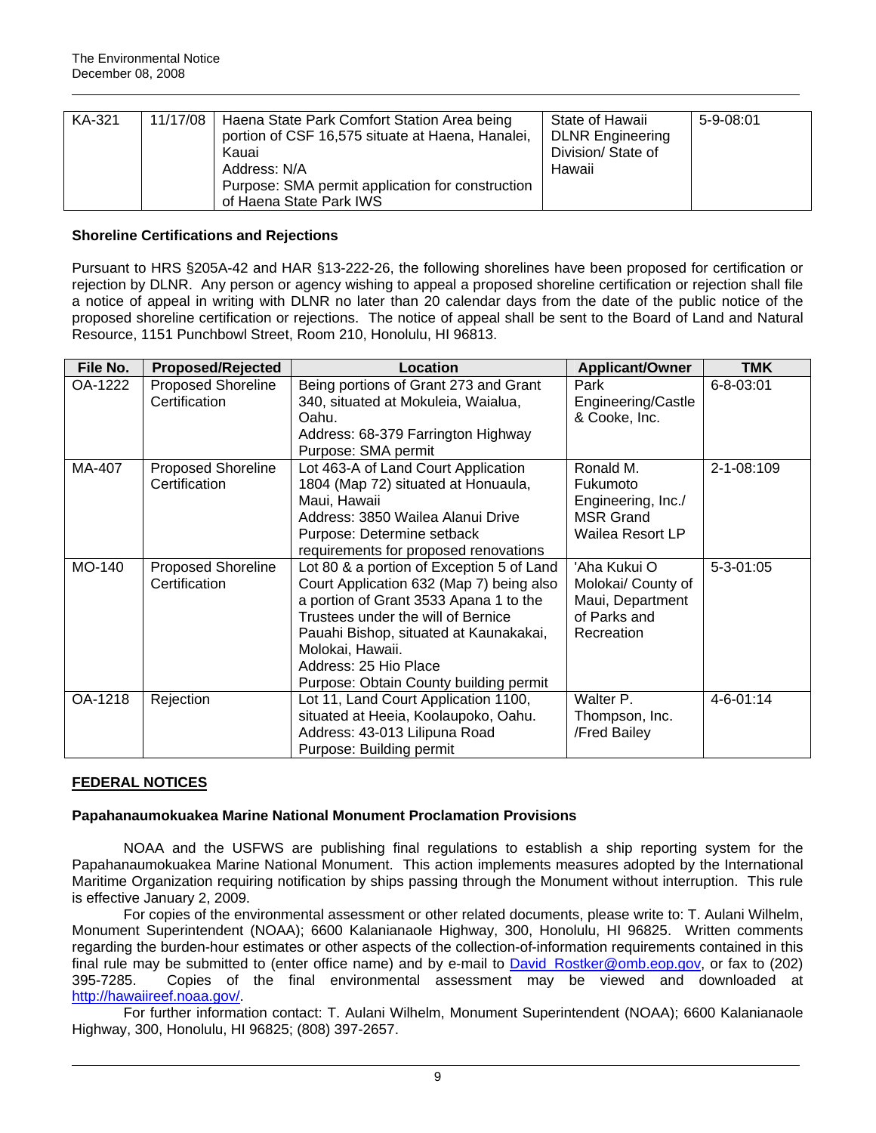| KA-321 | 11/17/08 | Haena State Park Comfort Station Area being<br>portion of CSF 16,575 situate at Haena, Hanalei,<br>Kauai<br>Address: N/A | State of Hawaii<br><b>DLNR</b> Engineering<br>Division/ State of<br>Hawaii | $5-9-08:01$ |
|--------|----------|--------------------------------------------------------------------------------------------------------------------------|----------------------------------------------------------------------------|-------------|
|        |          | Purpose: SMA permit application for construction                                                                         |                                                                            |             |
|        |          | of Haena State Park IWS                                                                                                  |                                                                            |             |

# **Shoreline Certifications and Rejections**

Pursuant to HRS §205A-42 and HAR §13-222-26, the following shorelines have been proposed for certification or rejection by DLNR. Any person or agency wishing to appeal a proposed shoreline certification or rejection shall file a notice of appeal in writing with DLNR no later than 20 calendar days from the date of the public notice of the proposed shoreline certification or rejections. The notice of appeal shall be sent to the Board of Land and Natural Resource, 1151 Punchbowl Street, Room 210, Honolulu, HI 96813.

| File No. | <b>Proposed/Rejected</b>  | Location                                  | <b>Applicant/Owner</b> | <b>TMK</b>       |
|----------|---------------------------|-------------------------------------------|------------------------|------------------|
| OA-1222  | <b>Proposed Shoreline</b> | Being portions of Grant 273 and Grant     | Park                   | $6 - 8 - 03:01$  |
|          | Certification             | 340, situated at Mokuleia, Waialua,       | Engineering/Castle     |                  |
|          |                           | Oahu.                                     | & Cooke, Inc.          |                  |
|          |                           | Address: 68-379 Farrington Highway        |                        |                  |
|          |                           | Purpose: SMA permit                       |                        |                  |
| MA-407   | <b>Proposed Shoreline</b> | Lot 463-A of Land Court Application       | Ronald M.              | $2 - 1 - 08:109$ |
|          | Certification             | 1804 (Map 72) situated at Honuaula,       | Fukumoto               |                  |
|          |                           | Maui, Hawaii                              | Engineering, Inc./     |                  |
|          |                           | Address: 3850 Wailea Alanui Drive         | <b>MSR Grand</b>       |                  |
|          |                           | Purpose: Determine setback                | Wailea Resort LP       |                  |
|          |                           | requirements for proposed renovations     |                        |                  |
| MO-140   | <b>Proposed Shoreline</b> | Lot 80 & a portion of Exception 5 of Land | 'Aha Kukui O           | $5 - 3 - 01:05$  |
|          | Certification             | Court Application 632 (Map 7) being also  | Molokai/ County of     |                  |
|          |                           | a portion of Grant 3533 Apana 1 to the    | Maui, Department       |                  |
|          |                           | Trustees under the will of Bernice        | of Parks and           |                  |
|          |                           | Pauahi Bishop, situated at Kaunakakai,    | Recreation             |                  |
|          |                           | Molokai, Hawaii.                          |                        |                  |
|          |                           | Address: 25 Hio Place                     |                        |                  |
|          |                           | Purpose: Obtain County building permit    |                        |                  |
| OA-1218  | Rejection                 | Lot 11, Land Court Application 1100,      | Walter P.              | $4 - 6 - 01:14$  |
|          |                           | situated at Heeia, Koolaupoko, Oahu.      | Thompson, Inc.         |                  |
|          |                           | Address: 43-013 Lilipuna Road             | /Fred Bailey           |                  |
|          |                           | Purpose: Building permit                  |                        |                  |

# **FEDERAL NOTICES**

# **Papahanaumokuakea Marine National Monument Proclamation Provisions**

NOAA and the USFWS are publishing final regulations to establish a ship reporting system for the Papahanaumokuakea Marine National Monument. This action implements measures adopted by the International Maritime Organization requiring notification by ships passing through the Monument without interruption. This rule is effective January 2, 2009.

For copies of the environmental assessment or other related documents, please write to: T. Aulani Wilhelm, Monument Superintendent (NOAA); 6600 Kalanianaole Highway, 300, Honolulu, HI 96825. Written comments regarding the burden-hour estimates or other aspects of the collection-of-information requirements contained in this final rule may be submitted to (enter office name) and by e-mail to David Rostker@omb.eop.gov, or fax to (202) 395-7285. Copies of the final environmental assessment may be viewed and downloaded at [http://hawaiireef.noaa.gov/.](http://frwebgate.access.gpo.gov/cgi-bin/leaving.cgi?from=leavingFR.html&log=linklog&to=http://hawaiireef.noaa.gov/)

For further information contact: T. Aulani Wilhelm, Monument Superintendent (NOAA); 6600 Kalanianaole Highway, 300, Honolulu, HI 96825; (808) 397-2657.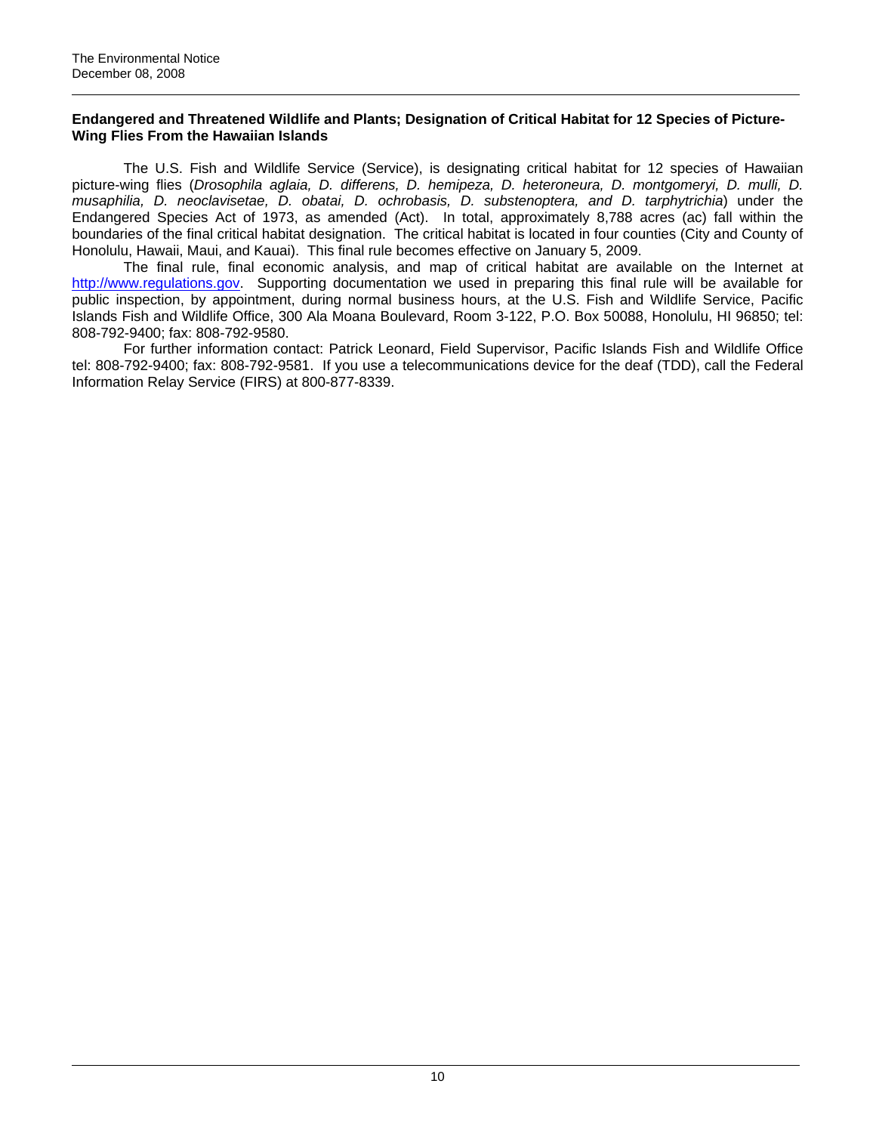### **Endangered and Threatened Wildlife and Plants; Designation of Critical Habitat for 12 Species of Picture-Wing Flies From the Hawaiian Islands**

The U.S. Fish and Wildlife Service (Service), is designating critical habitat for 12 species of Hawaiian picture-wing flies (*Drosophila aglaia, D. differens, D. hemipeza, D. heteroneura, D. montgomeryi, D. mulli, D. musaphilia, D. neoclavisetae, D. obatai, D. ochrobasis, D. substenoptera, and D. tarphytrichia*) under the Endangered Species Act of 1973, as amended (Act). In total, approximately 8,788 acres (ac) fall within the boundaries of the final critical habitat designation. The critical habitat is located in four counties (City and County of Honolulu, Hawaii, Maui, and Kauai). This final rule becomes effective on January 5, 2009.

The final rule, final economic analysis, and map of critical habitat are available on the Internet at [http://www.regulations.gov.](http://frwebgate.access.gpo.gov/cgi-bin/leaving.cgi?from=leavingFR.html&log=linklog&to=http://www.regulations.gov) Supporting documentation we used in preparing this final rule will be available for public inspection, by appointment, during normal business hours, at the U.S. Fish and Wildlife Service, Pacific Islands Fish and Wildlife Office, 300 Ala Moana Boulevard, Room 3-122, P.O. Box 50088, Honolulu, HI 96850; tel: 808-792-9400; fax: 808-792-9580.

For further information contact: Patrick Leonard, Field Supervisor, Pacific Islands Fish and Wildlife Office tel: 808-792-9400; fax: 808-792-9581. If you use a telecommunications device for the deaf (TDD), call the Federal Information Relay Service (FIRS) at 800-877-8339.